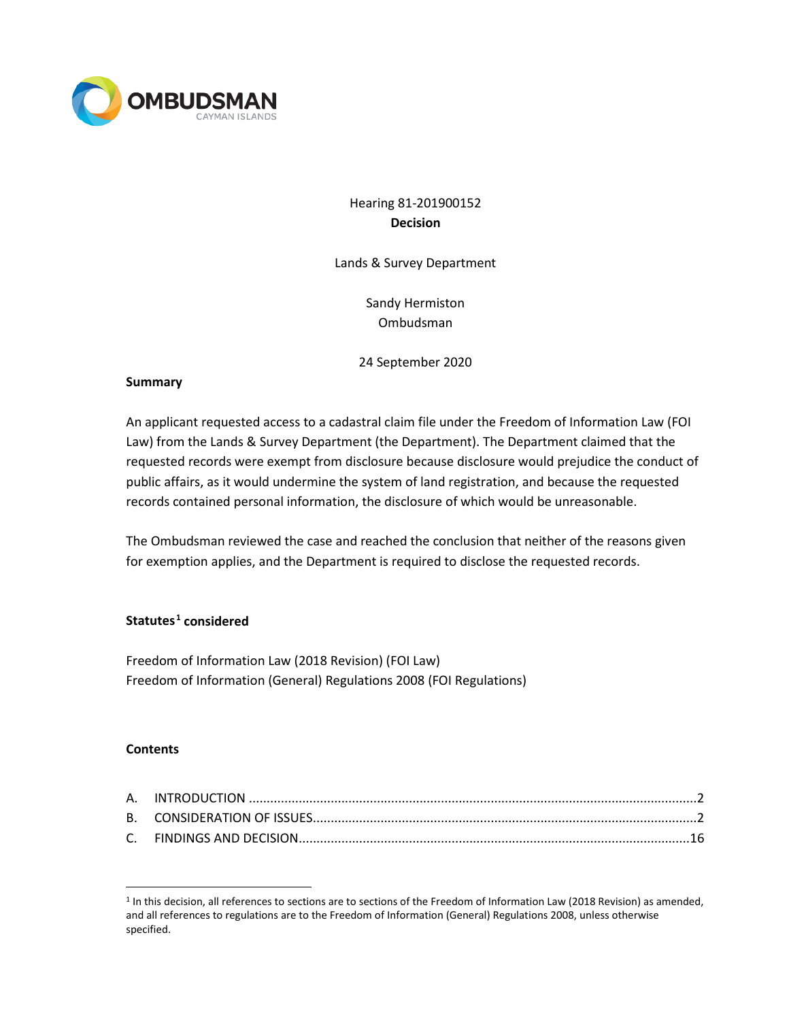

# Hearing 81-201900152 **Decision**

Lands & Survey Department

Sandy Hermiston Ombudsman

24 September 2020

### **Summary**

An applicant requested access to a cadastral claim file under the Freedom of Information Law (FOI Law) from the Lands & Survey Department (the Department). The Department claimed that the requested records were exempt from disclosure because disclosure would prejudice the conduct of public affairs, as it would undermine the system of land registration, and because the requested records contained personal information, the disclosure of which would be unreasonable.

The Ombudsman reviewed the case and reached the conclusion that neither of the reasons given for exemption applies, and the Department is required to disclose the requested records.

# **Statutes[1](#page-0-0) considered**

Freedom of Information Law (2018 Revision) (FOI Law) Freedom of Information (General) Regulations 2008 (FOI Regulations)

#### **Contents**

<span id="page-0-0"></span><sup>1</sup> In this decision, all references to sections are to sections of the Freedom of Information Law (2018 Revision) as amended, and all references to regulations are to the Freedom of Information (General) Regulations 2008, unless otherwise specified.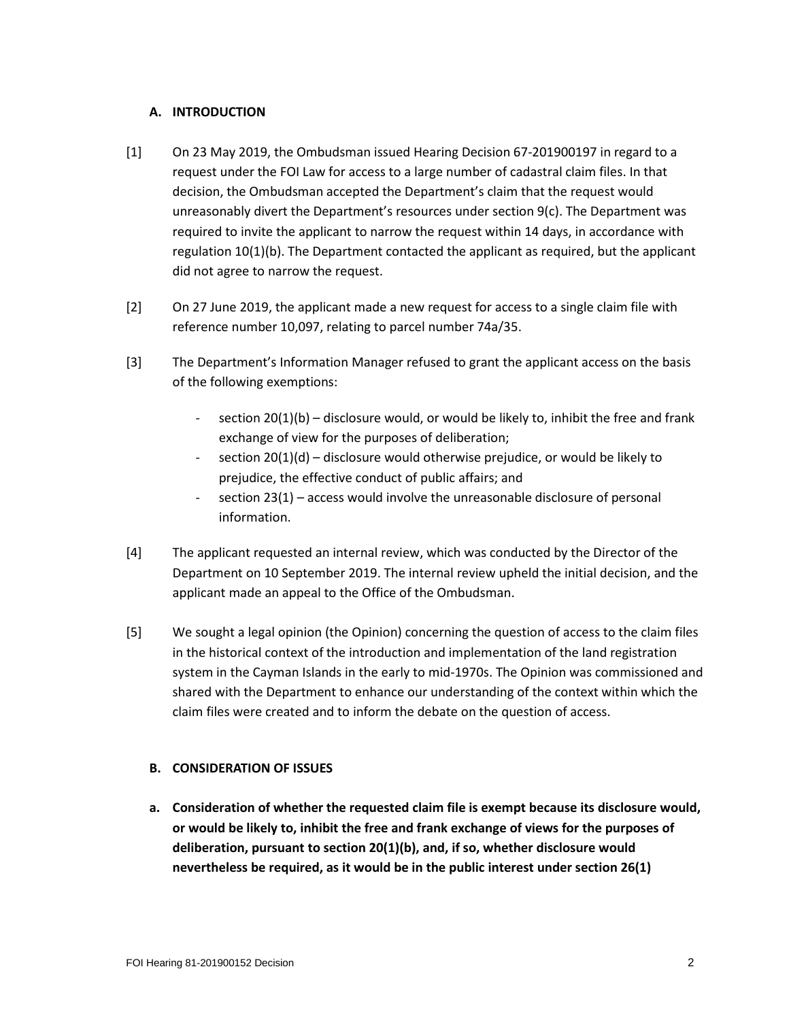## **A. INTRODUCTION**

- [1] On 23 May 2019, the Ombudsman issued Hearing Decision 67-201900197 in regard to a request under the FOI Law for access to a large number of cadastral claim files. In that decision, the Ombudsman accepted the Department's claim that the request would unreasonably divert the Department's resources under section 9(c). The Department was required to invite the applicant to narrow the request within 14 days, in accordance with regulation 10(1)(b). The Department contacted the applicant as required, but the applicant did not agree to narrow the request.
- [2] On 27 June 2019, the applicant made a new request for access to a single claim file with reference number 10,097, relating to parcel number 74a/35.
- [3] The Department's Information Manager refused to grant the applicant access on the basis of the following exemptions:
	- section  $20(1)(b)$  disclosure would, or would be likely to, inhibit the free and frank exchange of view for the purposes of deliberation;
	- section 20(1)(d) disclosure would otherwise prejudice, or would be likely to prejudice, the effective conduct of public affairs; and
	- section 23(1) access would involve the unreasonable disclosure of personal information.
- [4] The applicant requested an internal review, which was conducted by the Director of the Department on 10 September 2019. The internal review upheld the initial decision, and the applicant made an appeal to the Office of the Ombudsman.
- [5] We sought a legal opinion (the Opinion) concerning the question of access to the claim files in the historical context of the introduction and implementation of the land registration system in the Cayman Islands in the early to mid-1970s. The Opinion was commissioned and shared with the Department to enhance our understanding of the context within which the claim files were created and to inform the debate on the question of access.

# **B. CONSIDERATION OF ISSUES**

**a. Consideration of whether the requested claim file is exempt because its disclosure would, or would be likely to, inhibit the free and frank exchange of views for the purposes of deliberation, pursuant to section 20(1)(b), and, if so, whether disclosure would nevertheless be required, as it would be in the public interest under section 26(1)**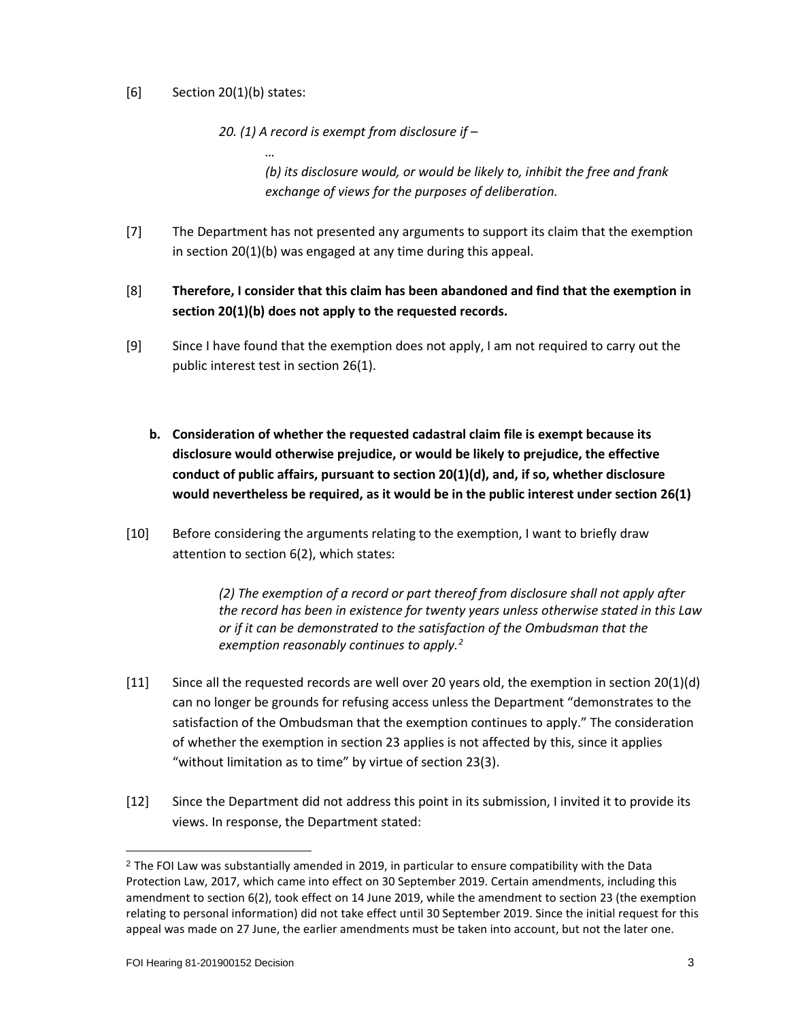# [6] Section 20(1)(b) states:

*…*

*20. (1) A record is exempt from disclosure if –*

*(b) its disclosure would, or would be likely to, inhibit the free and frank exchange of views for the purposes of deliberation.*

- [7] The Department has not presented any arguments to support its claim that the exemption in section 20(1)(b) was engaged at any time during this appeal.
- [8] **Therefore, I consider that this claim has been abandoned and find that the exemption in section 20(1)(b) does not apply to the requested records.**
- [9] Since I have found that the exemption does not apply, I am not required to carry out the public interest test in section 26(1).
	- **b. Consideration of whether the requested cadastral claim file is exempt because its disclosure would otherwise prejudice, or would be likely to prejudice, the effective conduct of public affairs, pursuant to section 20(1)(d), and, if so, whether disclosure would nevertheless be required, as it would be in the public interest under section 26(1)**
- [10] Before considering the arguments relating to the exemption, I want to briefly draw attention to section 6(2), which states:

*(2) The exemption of a record or part thereof from disclosure shall not apply after the record has been in existence for twenty years unless otherwise stated in this Law or if it can be demonstrated to the satisfaction of the Ombudsman that the exemption reasonably continues to apply.[2](#page-2-0)*

- [11] Since all the requested records are well over 20 years old, the exemption in section 20(1)(d) can no longer be grounds for refusing access unless the Department "demonstrates to the satisfaction of the Ombudsman that the exemption continues to apply." The consideration of whether the exemption in section 23 applies is not affected by this, since it applies "without limitation as to time" by virtue of section 23(3).
- [12] Since the Department did not address this point in its submission, I invited it to provide its views. In response, the Department stated:

<span id="page-2-0"></span> $<sup>2</sup>$  The FOI Law was substantially amended in 2019, in particular to ensure compatibility with the Data</sup> Protection Law, 2017, which came into effect on 30 September 2019. Certain amendments, including this amendment to section 6(2), took effect on 14 June 2019, while the amendment to section 23 (the exemption relating to personal information) did not take effect until 30 September 2019. Since the initial request for this appeal was made on 27 June, the earlier amendments must be taken into account, but not the later one.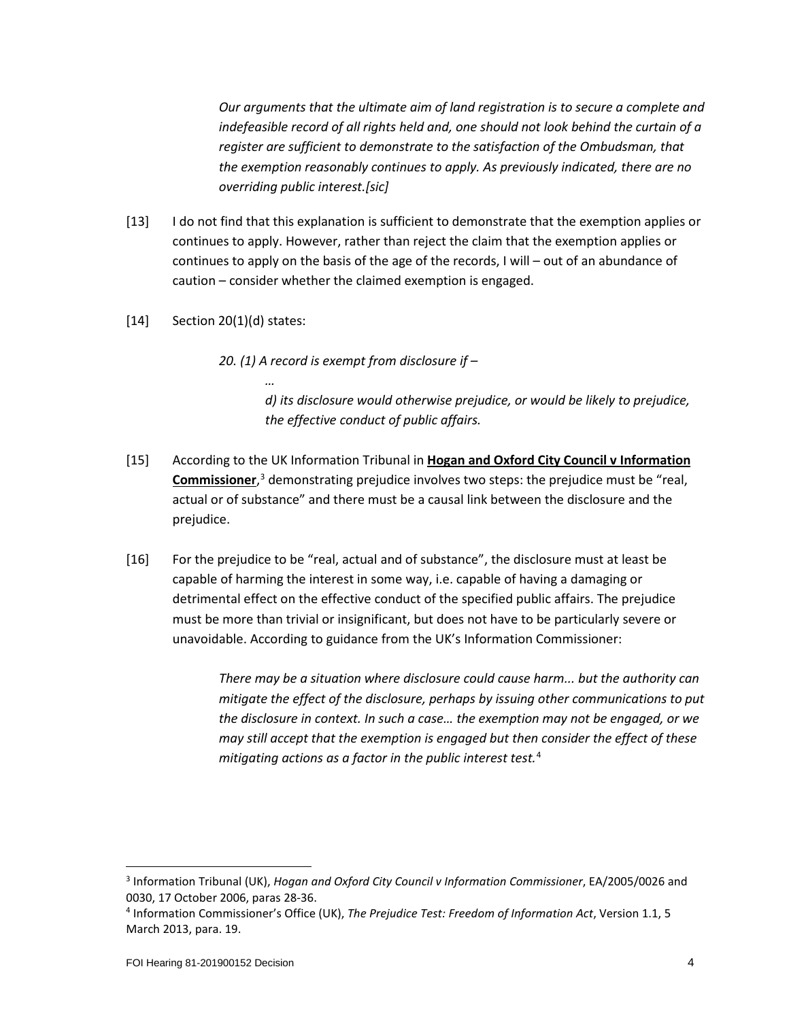*Our arguments that the ultimate aim of land registration is to secure a complete and indefeasible record of all rights held and, one should not look behind the curtain of a register are sufficient to demonstrate to the satisfaction of the Ombudsman, that the exemption reasonably continues to apply. As previously indicated, there are no overriding public interest.[sic]*

- [13] I do not find that this explanation is sufficient to demonstrate that the exemption applies or continues to apply. However, rather than reject the claim that the exemption applies or continues to apply on the basis of the age of the records, I will – out of an abundance of caution – consider whether the claimed exemption is engaged.
- [14] Section 20(1)(d) states:

*…*

*20. (1) A record is exempt from disclosure if –*

*d) its disclosure would otherwise prejudice, or would be likely to prejudice, the effective conduct of public affairs.*

- [15] According to the UK Information Tribunal in **Hogan and Oxford City Council v Information Commissioner**, [3](#page-3-0) demonstrating prejudice involves two steps: the prejudice must be "real, actual or of substance" and there must be a causal link between the disclosure and the prejudice.
- [16] For the prejudice to be "real, actual and of substance", the disclosure must at least be capable of harming the interest in some way, i.e. capable of having a damaging or detrimental effect on the effective conduct of the specified public affairs. The prejudice must be more than trivial or insignificant, but does not have to be particularly severe or unavoidable. According to guidance from the UK's Information Commissioner:

*There may be a situation where disclosure could cause harm... but the authority can mitigate the effect of the disclosure, perhaps by issuing other communications to put the disclosure in context. In such a case… the exemption may not be engaged, or we may still accept that the exemption is engaged but then consider the effect of these mitigating actions as a factor in the public interest test.*[4](#page-3-1)

<span id="page-3-0"></span><sup>3</sup> Information Tribunal (UK), *Hogan and Oxford City Council v Information Commissioner*, EA/2005/0026 and 0030, 17 October 2006, paras 28-36.

<span id="page-3-1"></span><sup>4</sup> Information Commissioner's Office (UK), *The Prejudice Test: Freedom of Information Act*, Version 1.1, 5 March 2013, para. 19.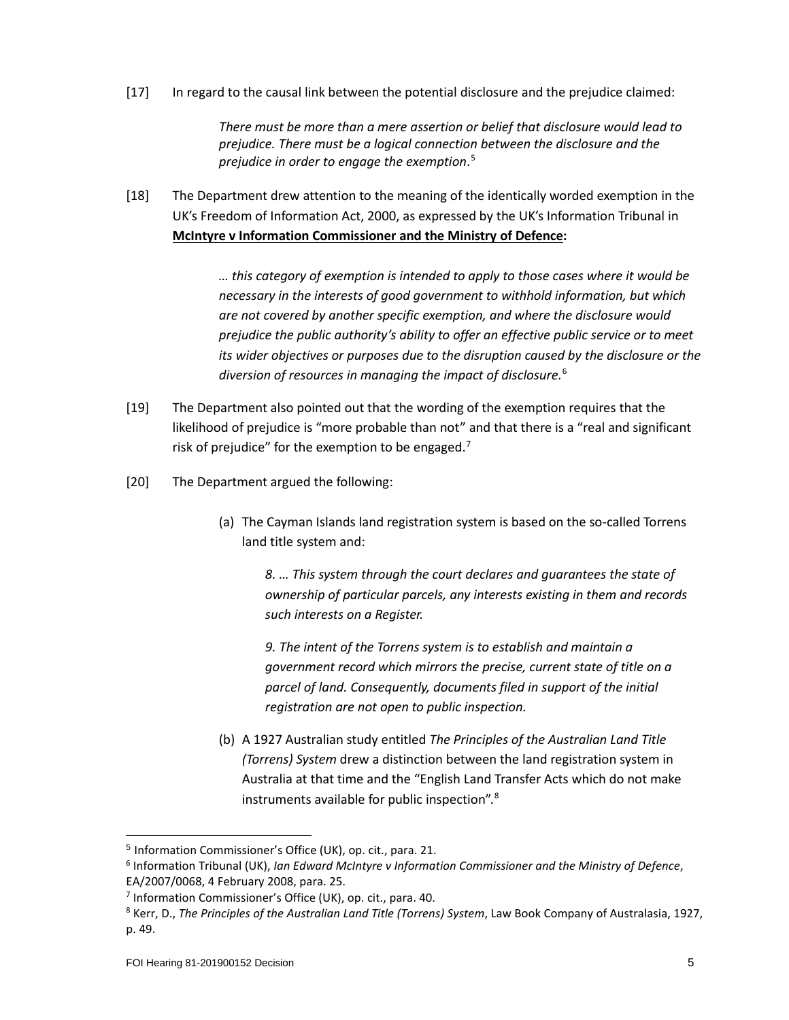[17] In regard to the causal link between the potential disclosure and the prejudice claimed:

*There must be more than a mere assertion or belief that disclosure would lead to prejudice. There must be a logical connection between the disclosure and the prejudice in order to engage the exemption*. [5](#page-4-0)

[18] The Department drew attention to the meaning of the identically worded exemption in the UK's Freedom of Information Act, 2000, as expressed by the UK's Information Tribunal in **McIntyre v Information Commissioner and the Ministry of Defence:**

> *… this category of exemption is intended to apply to those cases where it would be necessary in the interests of good government to withhold information, but which are not covered by another specific exemption, and where the disclosure would prejudice the public authority's ability to offer an effective public service or to meet its wider objectives or purposes due to the disruption caused by the disclosure or the diversion of resources in managing the impact of disclosure.*[6](#page-4-1)

- [19] The Department also pointed out that the wording of the exemption requires that the likelihood of prejudice is "more probable than not" and that there is a "real and significant risk of prejudice" for the exemption to be engaged.<sup>[7](#page-4-2)</sup>
- [20] The Department argued the following:
	- (a) The Cayman Islands land registration system is based on the so-called Torrens land title system and:

*8. … This system through the court declares and guarantees the state of ownership of particular parcels, any interests existing in them and records such interests on a Register.*

*9. The intent of the Torrens system is to establish and maintain a government record which mirrors the precise, current state of title on a parcel of land. Consequently, documents filed in support of the initial registration are not open to public inspection.*

(b) A 1927 Australian study entitled *The Principles of the Australian Land Title (Torrens) System* drew a distinction between the land registration system in Australia at that time and the "English Land Transfer Acts which do not make instruments available for public inspection".[8](#page-4-3)

<span id="page-4-0"></span><sup>5</sup> Information Commissioner's Office (UK), op. cit., para. 21.

<span id="page-4-1"></span><sup>6</sup> Information Tribunal (UK), *Ian Edward McIntyre v Information Commissioner and the Ministry of Defence*, EA/2007/0068, 4 February 2008, para. 25.

<span id="page-4-2"></span><sup>7</sup> Information Commissioner's Office (UK), op. cit., para. 40.

<span id="page-4-3"></span><sup>8</sup> Kerr, D., *The Principles of the Australian Land Title (Torrens) System*, Law Book Company of Australasia, 1927, p. 49.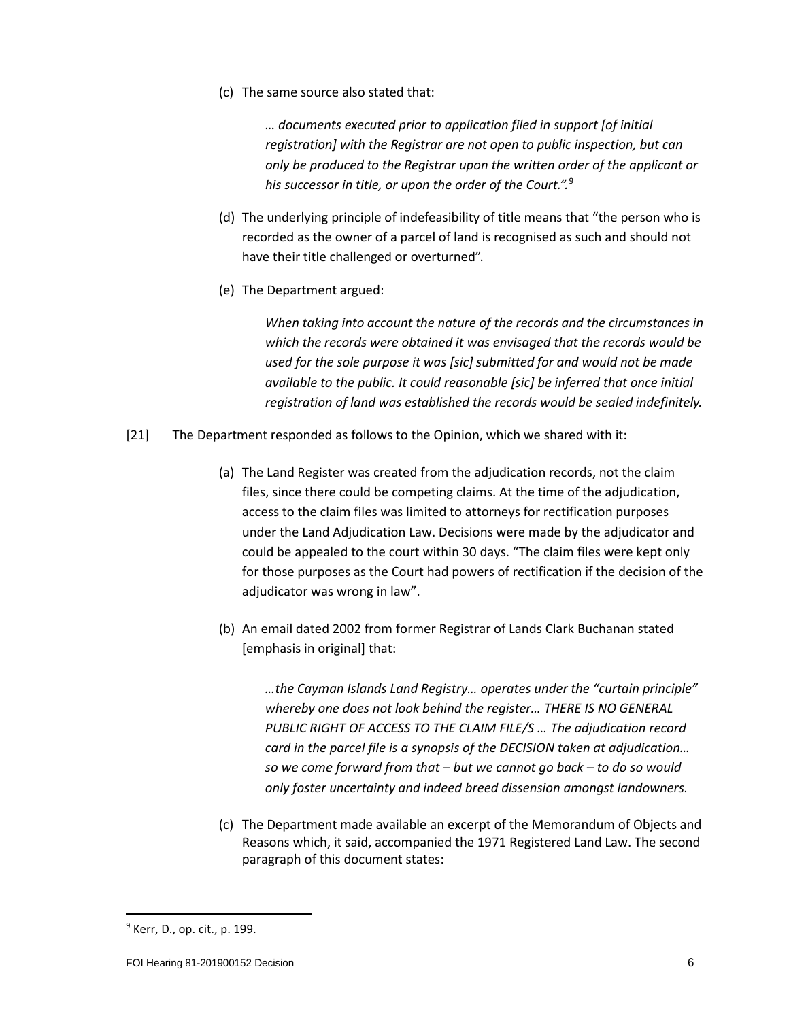(c) The same source also stated that:

*… documents executed prior to application filed in support [of initial registration] with the Registrar are not open to public inspection, but can only be produced to the Registrar upon the written order of the applicant or his successor in title, or upon the order of the Court.".* [9](#page-5-0)

- (d) The underlying principle of indefeasibility of title means that "the person who is recorded as the owner of a parcel of land is recognised as such and should not have their title challenged or overturned".
- (e) The Department argued:

*When taking into account the nature of the records and the circumstances in which the records were obtained it was envisaged that the records would be used for the sole purpose it was [sic] submitted for and would not be made available to the public. It could reasonable [sic] be inferred that once initial registration of land was established the records would be sealed indefinitely.*

- [21] The Department responded as follows to the Opinion, which we shared with it:
	- (a) The Land Register was created from the adjudication records, not the claim files, since there could be competing claims. At the time of the adjudication, access to the claim files was limited to attorneys for rectification purposes under the Land Adjudication Law. Decisions were made by the adjudicator and could be appealed to the court within 30 days. "The claim files were kept only for those purposes as the Court had powers of rectification if the decision of the adjudicator was wrong in law".
	- (b) An email dated 2002 from former Registrar of Lands Clark Buchanan stated [emphasis in original] that:

*…the Cayman Islands Land Registry… operates under the "curtain principle" whereby one does not look behind the register… THERE IS NO GENERAL PUBLIC RIGHT OF ACCESS TO THE CLAIM FILE/S … The adjudication record card in the parcel file is a synopsis of the DECISION taken at adjudication… so we come forward from that – but we cannot go back – to do so would only foster uncertainty and indeed breed dissension amongst landowners.*

(c) The Department made available an excerpt of the Memorandum of Objects and Reasons which, it said, accompanied the 1971 Registered Land Law. The second paragraph of this document states:

<span id="page-5-0"></span><sup>9</sup> Kerr, D., op. cit., p. 199.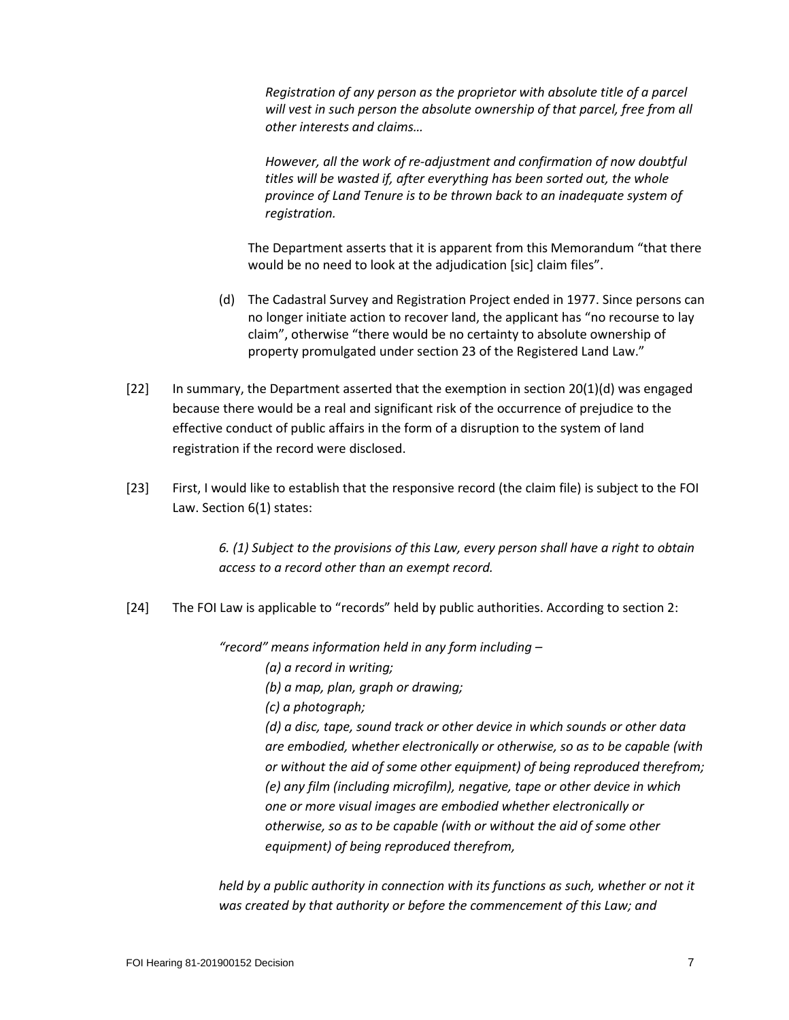*Registration of any person as the proprietor with absolute title of a parcel*  will vest in such person the absolute ownership of that parcel, free from all *other interests and claims…*

*However, all the work of re-adjustment and confirmation of now doubtful titles will be wasted if, after everything has been sorted out, the whole province of Land Tenure is to be thrown back to an inadequate system of registration.*

The Department asserts that it is apparent from this Memorandum "that there would be no need to look at the adjudication [sic] claim files".

- (d) The Cadastral Survey and Registration Project ended in 1977. Since persons can no longer initiate action to recover land, the applicant has "no recourse to lay claim", otherwise "there would be no certainty to absolute ownership of property promulgated under section 23 of the Registered Land Law."
- [22] In summary, the Department asserted that the exemption in section 20(1)(d) was engaged because there would be a real and significant risk of the occurrence of prejudice to the effective conduct of public affairs in the form of a disruption to the system of land registration if the record were disclosed.
- [23] First, I would like to establish that the responsive record (the claim file) is subject to the FOI Law. Section 6(1) states:

*6. (1) Subject to the provisions of this Law, every person shall have a right to obtain access to a record other than an exempt record.*

[24] The FOI Law is applicable to "records" held by public authorities. According to section 2:

*"record" means information held in any form including –*

*(a) a record in writing;*

*(b) a map, plan, graph or drawing;*

*(c) a photograph;*

*(d) a disc, tape, sound track or other device in which sounds or other data are embodied, whether electronically or otherwise, so as to be capable (with or without the aid of some other equipment) of being reproduced therefrom; (e) any film (including microfilm), negative, tape or other device in which one or more visual images are embodied whether electronically or otherwise, so as to be capable (with or without the aid of some other equipment) of being reproduced therefrom,*

held by a public authority in connection with its functions as such, whether or not it *was created by that authority or before the commencement of this Law; and*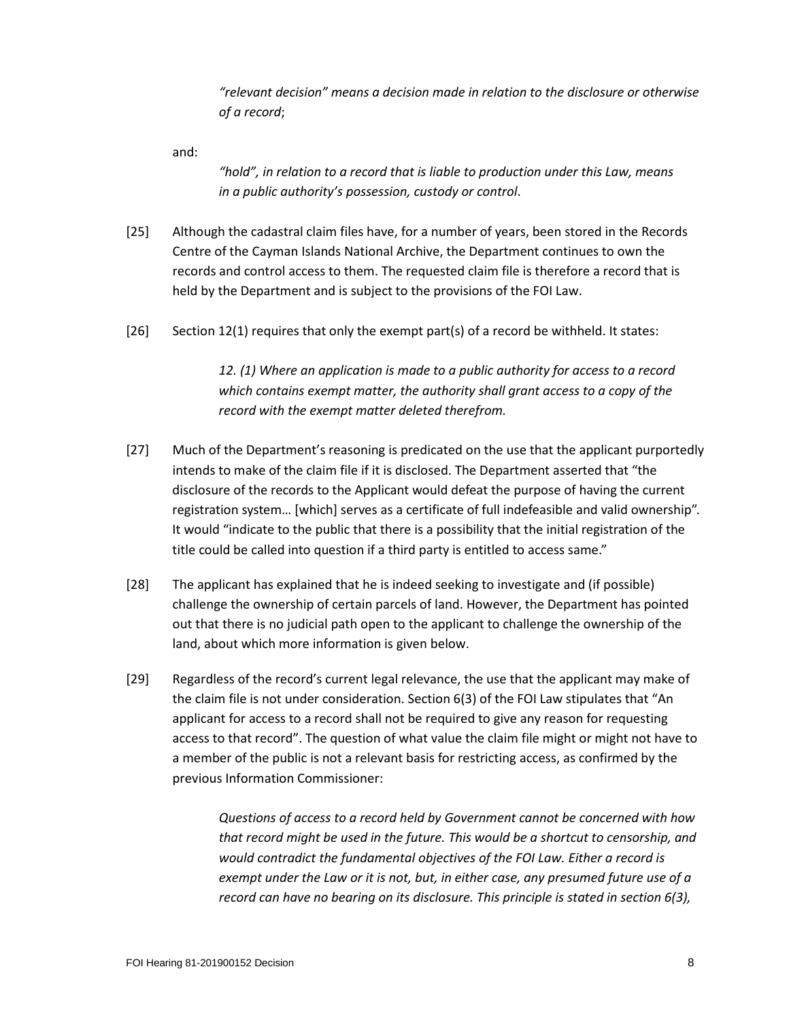*"relevant decision" means a decision made in relation to the disclosure or otherwise of a record*;

and:

*"hold", in relation to a record that is liable to production under this Law, means in a public authority's possession, custody or control*.

- [25] Although the cadastral claim files have, for a number of years, been stored in the Records Centre of the Cayman Islands National Archive, the Department continues to own the records and control access to them. The requested claim file is therefore a record that is held by the Department and is subject to the provisions of the FOI Law.
- [26] Section 12(1) requires that only the exempt part(s) of a record be withheld. It states:

*12. (1) Where an application is made to a public authority for access to a record which contains exempt matter, the authority shall grant access to a copy of the record with the exempt matter deleted therefrom.*

- [27] Much of the Department's reasoning is predicated on the use that the applicant purportedly intends to make of the claim file if it is disclosed. The Department asserted that "the disclosure of the records to the Applicant would defeat the purpose of having the current registration system… [which] serves as a certificate of full indefeasible and valid ownership". It would "indicate to the public that there is a possibility that the initial registration of the title could be called into question if a third party is entitled to access same."
- [28] The applicant has explained that he is indeed seeking to investigate and (if possible) challenge the ownership of certain parcels of land. However, the Department has pointed out that there is no judicial path open to the applicant to challenge the ownership of the land, about which more information is given below.
- [29] Regardless of the record's current legal relevance, the use that the applicant may make of the claim file is not under consideration. Section 6(3) of the FOI Law stipulates that "An applicant for access to a record shall not be required to give any reason for requesting access to that record". The question of what value the claim file might or might not have to a member of the public is not a relevant basis for restricting access, as confirmed by the previous Information Commissioner:

*Questions of access to a record held by Government cannot be concerned with how that record might be used in the future. This would be a shortcut to censorship, and would contradict the fundamental objectives of the FOI Law. Either a record is exempt under the Law or it is not, but, in either case, any presumed future use of a record can have no bearing on its disclosure. This principle is stated in section 6(3),*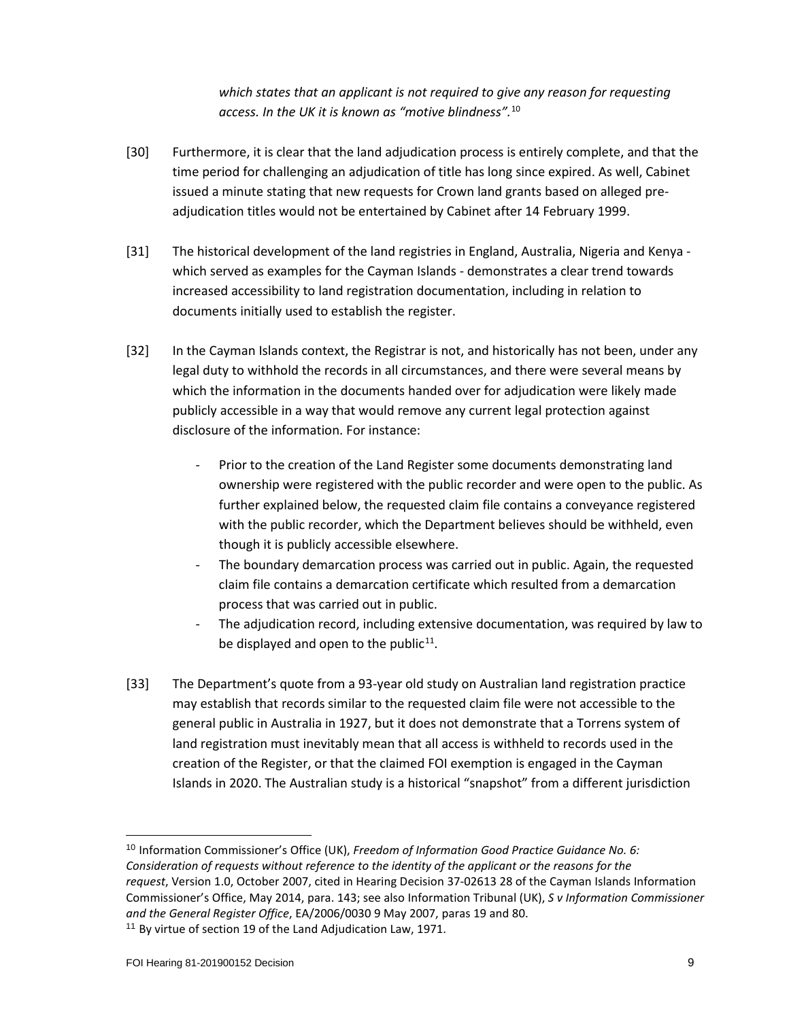*which states that an applicant is not required to give any reason for requesting access. In the UK it is known as "motive blindness".* [10](#page-8-0)

- [30] Furthermore, it is clear that the land adjudication process is entirely complete, and that the time period for challenging an adjudication of title has long since expired. As well, Cabinet issued a minute stating that new requests for Crown land grants based on alleged preadjudication titles would not be entertained by Cabinet after 14 February 1999.
- [31] The historical development of the land registries in England, Australia, Nigeria and Kenya which served as examples for the Cayman Islands - demonstrates a clear trend towards increased accessibility to land registration documentation, including in relation to documents initially used to establish the register.
- [32] In the Cayman Islands context, the Registrar is not, and historically has not been, under any legal duty to withhold the records in all circumstances, and there were several means by which the information in the documents handed over for adjudication were likely made publicly accessible in a way that would remove any current legal protection against disclosure of the information. For instance:
	- Prior to the creation of the Land Register some documents demonstrating land ownership were registered with the public recorder and were open to the public. As further explained below, the requested claim file contains a conveyance registered with the public recorder, which the Department believes should be withheld, even though it is publicly accessible elsewhere.
	- The boundary demarcation process was carried out in public. Again, the requested claim file contains a demarcation certificate which resulted from a demarcation process that was carried out in public.
	- The adjudication record, including extensive documentation, was required by law to be displayed and open to the public<sup>[11](#page-8-1)</sup>.
- [33] The Department's quote from a 93-year old study on Australian land registration practice may establish that records similar to the requested claim file were not accessible to the general public in Australia in 1927, but it does not demonstrate that a Torrens system of land registration must inevitably mean that all access is withheld to records used in the creation of the Register, or that the claimed FOI exemption is engaged in the Cayman Islands in 2020. The Australian study is a historical "snapshot" from a different jurisdiction

<span id="page-8-1"></span><span id="page-8-0"></span><sup>10</sup> Information Commissioner's Office (UK), *Freedom of Information Good Practice Guidance No. 6: Consideration of requests without reference to the identity of the applicant or the reasons for the request*, Version 1.0, October 2007, cited in Hearing Decision 37-02613 28 of the Cayman Islands Information Commissioner's Office, May 2014, para. 143; see also Information Tribunal (UK), *S v Information Commissioner and the General Register Office*, EA/2006/0030 9 May 2007, paras 19 and 80. <sup>11</sup> By virtue of section 19 of the Land Adjudication Law, 1971.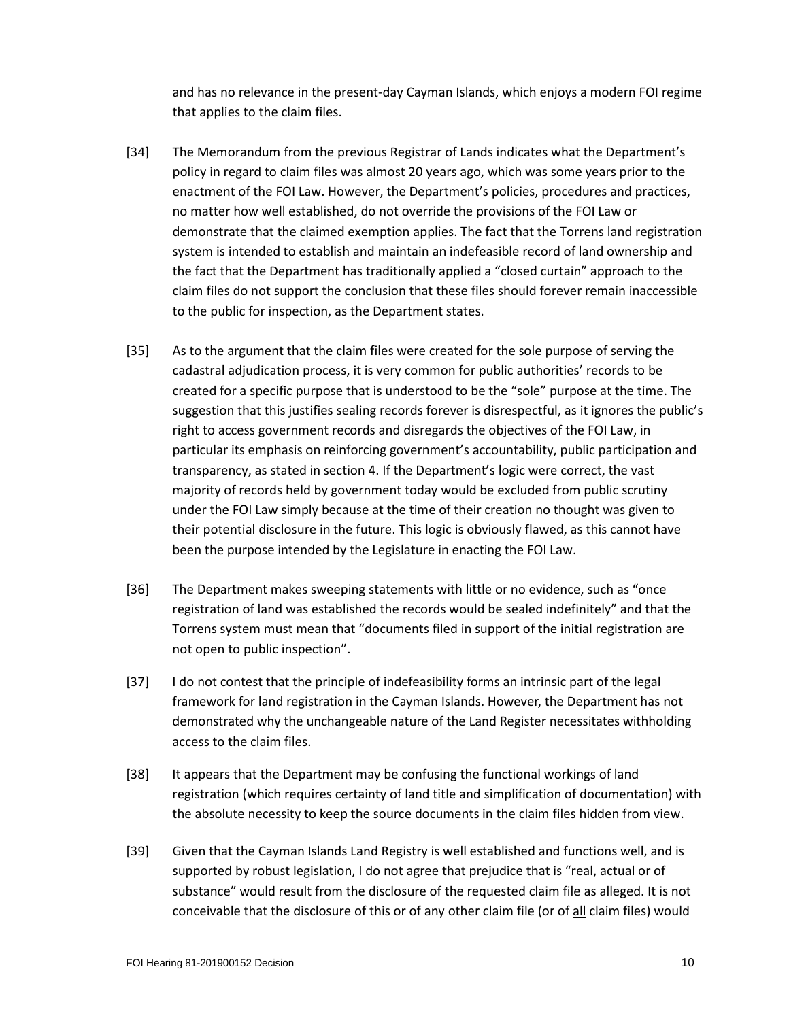and has no relevance in the present-day Cayman Islands, which enjoys a modern FOI regime that applies to the claim files.

- [34] The Memorandum from the previous Registrar of Lands indicates what the Department's policy in regard to claim files was almost 20 years ago, which was some years prior to the enactment of the FOI Law. However, the Department's policies, procedures and practices, no matter how well established, do not override the provisions of the FOI Law or demonstrate that the claimed exemption applies. The fact that the Torrens land registration system is intended to establish and maintain an indefeasible record of land ownership and the fact that the Department has traditionally applied a "closed curtain" approach to the claim files do not support the conclusion that these files should forever remain inaccessible to the public for inspection, as the Department states.
- [35] As to the argument that the claim files were created for the sole purpose of serving the cadastral adjudication process, it is very common for public authorities' records to be created for a specific purpose that is understood to be the "sole" purpose at the time. The suggestion that this justifies sealing records forever is disrespectful, as it ignores the public's right to access government records and disregards the objectives of the FOI Law, in particular its emphasis on reinforcing government's accountability, public participation and transparency, as stated in section 4. If the Department's logic were correct, the vast majority of records held by government today would be excluded from public scrutiny under the FOI Law simply because at the time of their creation no thought was given to their potential disclosure in the future. This logic is obviously flawed, as this cannot have been the purpose intended by the Legislature in enacting the FOI Law.
- [36] The Department makes sweeping statements with little or no evidence, such as "once registration of land was established the records would be sealed indefinitely" and that the Torrens system must mean that "documents filed in support of the initial registration are not open to public inspection".
- [37] I do not contest that the principle of indefeasibility forms an intrinsic part of the legal framework for land registration in the Cayman Islands. However, the Department has not demonstrated why the unchangeable nature of the Land Register necessitates withholding access to the claim files.
- [38] It appears that the Department may be confusing the functional workings of land registration (which requires certainty of land title and simplification of documentation) with the absolute necessity to keep the source documents in the claim files hidden from view.
- [39] Given that the Cayman Islands Land Registry is well established and functions well, and is supported by robust legislation, I do not agree that prejudice that is "real, actual or of substance" would result from the disclosure of the requested claim file as alleged. It is not conceivable that the disclosure of this or of any other claim file (or of all claim files) would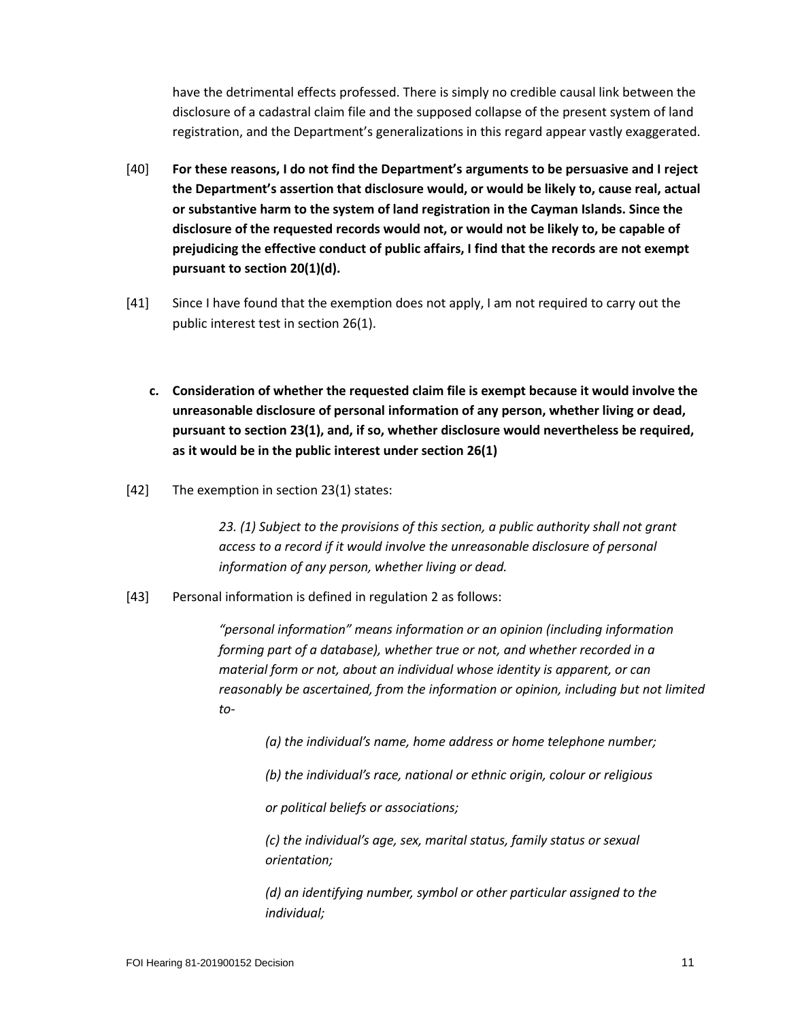have the detrimental effects professed. There is simply no credible causal link between the disclosure of a cadastral claim file and the supposed collapse of the present system of land registration, and the Department's generalizations in this regard appear vastly exaggerated.

- [40] **For these reasons, I do not find the Department's arguments to be persuasive and I reject the Department's assertion that disclosure would, or would be likely to, cause real, actual or substantive harm to the system of land registration in the Cayman Islands. Since the disclosure of the requested records would not, or would not be likely to, be capable of prejudicing the effective conduct of public affairs, I find that the records are not exempt pursuant to section 20(1)(d).**
- [41] Since I have found that the exemption does not apply, I am not required to carry out the public interest test in section 26(1).
	- **c. Consideration of whether the requested claim file is exempt because it would involve the unreasonable disclosure of personal information of any person, whether living or dead, pursuant to section 23(1), and, if so, whether disclosure would nevertheless be required, as it would be in the public interest under section 26(1)**
- [42] The exemption in section 23(1) states:

*23. (1) Subject to the provisions of this section, a public authority shall not grant access to a record if it would involve the unreasonable disclosure of personal information of any person, whether living or dead.*

[43] Personal information is defined in regulation 2 as follows:

*"personal information" means information or an opinion (including information forming part of a database), whether true or not, and whether recorded in a material form or not, about an individual whose identity is apparent, or can reasonably be ascertained, from the information or opinion, including but not limited to-*

*(a) the individual's name, home address or home telephone number;*

*(b) the individual's race, national or ethnic origin, colour or religious*

*or political beliefs or associations;*

*(c) the individual's age, sex, marital status, family status or sexual orientation;*

*(d) an identifying number, symbol or other particular assigned to the individual;*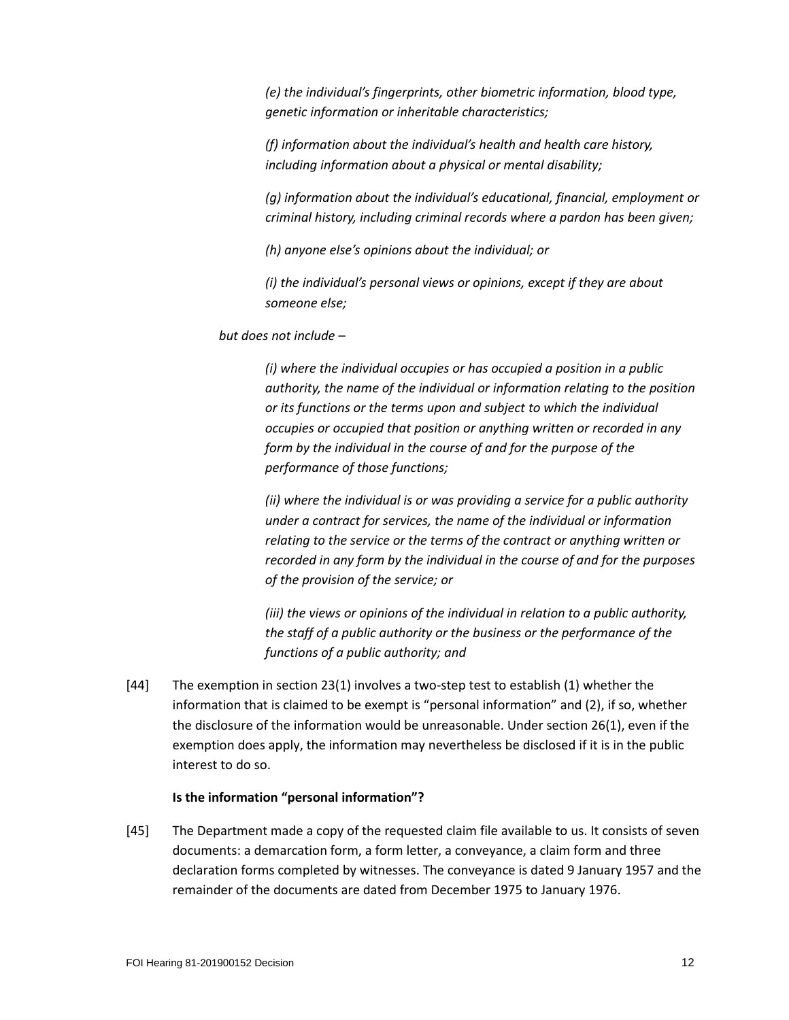*(e) the individual's fingerprints, other biometric information, blood type, genetic information or inheritable characteristics;*

*(f) information about the individual's health and health care history, including information about a physical or mental disability;*

*(g) information about the individual's educational, financial, employment or criminal history, including criminal records where a pardon has been given;*

*(h) anyone else's opinions about the individual; or*

*(i) the individual's personal views or opinions, except if they are about someone else;*

*but does not include –*

*(i) where the individual occupies or has occupied a position in a public authority, the name of the individual or information relating to the position or its functions or the terms upon and subject to which the individual occupies or occupied that position or anything written or recorded in any form by the individual in the course of and for the purpose of the performance of those functions;*

*(ii) where the individual is or was providing a service for a public authority under a contract for services, the name of the individual or information relating to the service or the terms of the contract or anything written or recorded in any form by the individual in the course of and for the purposes of the provision of the service; or*

*(iii) the views or opinions of the individual in relation to a public authority, the staff of a public authority or the business or the performance of the functions of a public authority; and*

[44] The exemption in section 23(1) involves a two-step test to establish (1) whether the information that is claimed to be exempt is "personal information" and (2), if so, whether the disclosure of the information would be unreasonable. Under section 26(1), even if the exemption does apply, the information may nevertheless be disclosed if it is in the public interest to do so.

## **Is the information "personal information"?**

[45] The Department made a copy of the requested claim file available to us. It consists of seven documents: a demarcation form, a form letter, a conveyance, a claim form and three declaration forms completed by witnesses. The conveyance is dated 9 January 1957 and the remainder of the documents are dated from December 1975 to January 1976.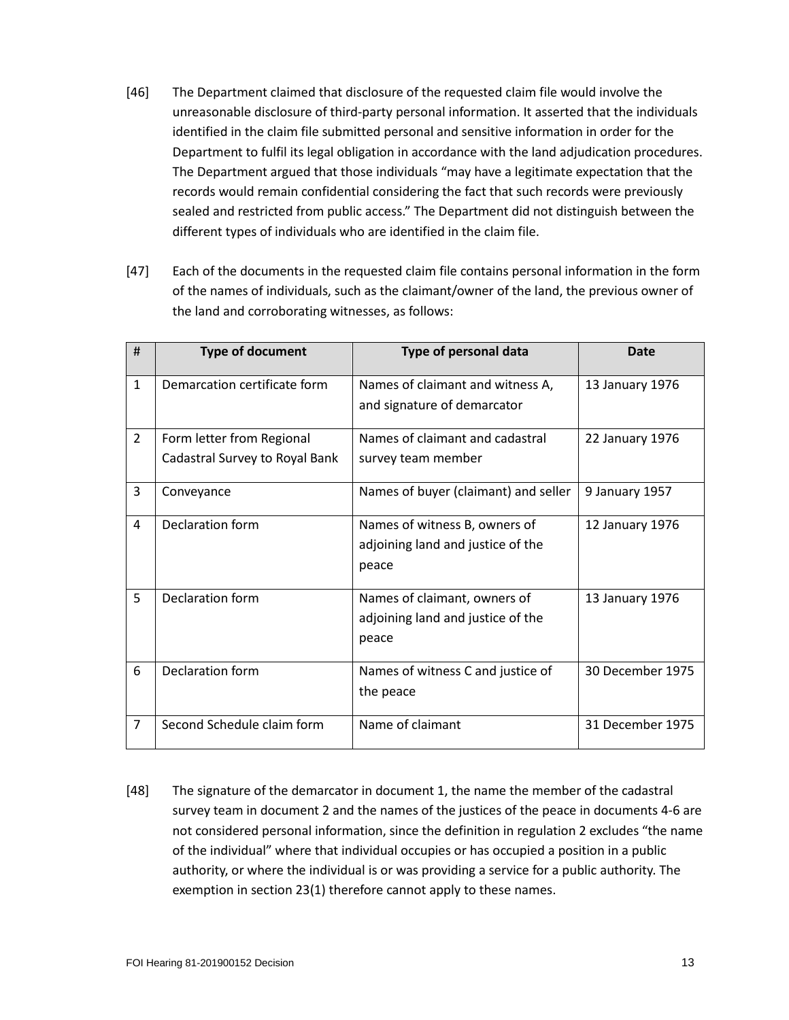- [46] The Department claimed that disclosure of the requested claim file would involve the unreasonable disclosure of third-party personal information. It asserted that the individuals identified in the claim file submitted personal and sensitive information in order for the Department to fulfil its legal obligation in accordance with the land adjudication procedures. The Department argued that those individuals "may have a legitimate expectation that the records would remain confidential considering the fact that such records were previously sealed and restricted from public access." The Department did not distinguish between the different types of individuals who are identified in the claim file.
- [47] Each of the documents in the requested claim file contains personal information in the form of the names of individuals, such as the claimant/owner of the land, the previous owner of the land and corroborating witnesses, as follows:

| #              | <b>Type of document</b>        | Type of personal data                | <b>Date</b>      |
|----------------|--------------------------------|--------------------------------------|------------------|
| $\mathbf{1}$   | Demarcation certificate form   | Names of claimant and witness A,     | 13 January 1976  |
|                |                                | and signature of demarcator          |                  |
| $\overline{2}$ | Form letter from Regional      | Names of claimant and cadastral      | 22 January 1976  |
|                | Cadastral Survey to Royal Bank | survey team member                   |                  |
| 3              | Conveyance                     | Names of buyer (claimant) and seller | 9 January 1957   |
| 4              | Declaration form               | Names of witness B, owners of        | 12 January 1976  |
|                |                                | adjoining land and justice of the    |                  |
|                |                                | peace                                |                  |
| 5              | Declaration form               | Names of claimant, owners of         | 13 January 1976  |
|                |                                | adjoining land and justice of the    |                  |
|                |                                | peace                                |                  |
| 6              | Declaration form               | Names of witness C and justice of    | 30 December 1975 |
|                |                                | the peace                            |                  |
| $\overline{7}$ | Second Schedule claim form     | Name of claimant                     | 31 December 1975 |

[48] The signature of the demarcator in document 1, the name the member of the cadastral survey team in document 2 and the names of the justices of the peace in documents 4-6 are not considered personal information, since the definition in regulation 2 excludes "the name of the individual" where that individual occupies or has occupied a position in a public authority, or where the individual is or was providing a service for a public authority. The exemption in section 23(1) therefore cannot apply to these names.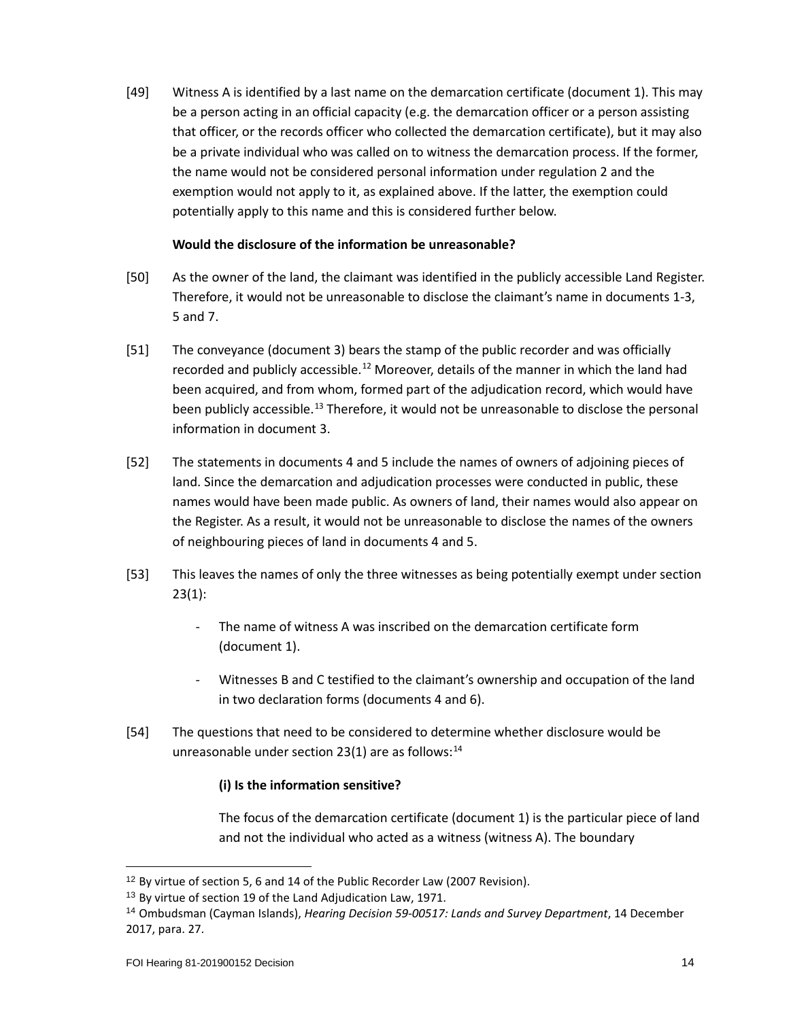[49] Witness A is identified by a last name on the demarcation certificate (document 1). This may be a person acting in an official capacity (e.g. the demarcation officer or a person assisting that officer, or the records officer who collected the demarcation certificate), but it may also be a private individual who was called on to witness the demarcation process. If the former, the name would not be considered personal information under regulation 2 and the exemption would not apply to it, as explained above. If the latter, the exemption could potentially apply to this name and this is considered further below.

## **Would the disclosure of the information be unreasonable?**

- [50] As the owner of the land, the claimant was identified in the publicly accessible Land Register. Therefore, it would not be unreasonable to disclose the claimant's name in documents 1-3, 5 and 7.
- [51] The conveyance (document 3) bears the stamp of the public recorder and was officially recorded and publicly accessible.<sup>[12](#page-13-0)</sup> Moreover, details of the manner in which the land had been acquired, and from whom, formed part of the adjudication record, which would have been publicly accessible.<sup>[13](#page-13-1)</sup> Therefore, it would not be unreasonable to disclose the personal information in document 3.
- [52] The statements in documents 4 and 5 include the names of owners of adjoining pieces of land. Since the demarcation and adjudication processes were conducted in public, these names would have been made public. As owners of land, their names would also appear on the Register. As a result, it would not be unreasonable to disclose the names of the owners of neighbouring pieces of land in documents 4 and 5.
- [53] This leaves the names of only the three witnesses as being potentially exempt under section 23(1):
	- The name of witness A was inscribed on the demarcation certificate form (document 1).
	- Witnesses B and C testified to the claimant's ownership and occupation of the land in two declaration forms (documents 4 and 6).
- [54] The questions that need to be considered to determine whether disclosure would be unreasonable under section 23(1) are as follows: $^{14}$  $^{14}$  $^{14}$

#### **(i) Is the information sensitive?**

The focus of the demarcation certificate (document 1) is the particular piece of land and not the individual who acted as a witness (witness A). The boundary

<span id="page-13-0"></span><sup>12</sup> By virtue of section 5, 6 and 14 of the Public Recorder Law (2007 Revision).

<span id="page-13-1"></span><sup>&</sup>lt;sup>13</sup> By virtue of section 19 of the Land Adjudication Law, 1971.

<span id="page-13-2"></span><sup>14</sup> Ombudsman (Cayman Islands), *Hearing Decision 59-00517: Lands and Survey Department*, 14 December 2017, para. 27.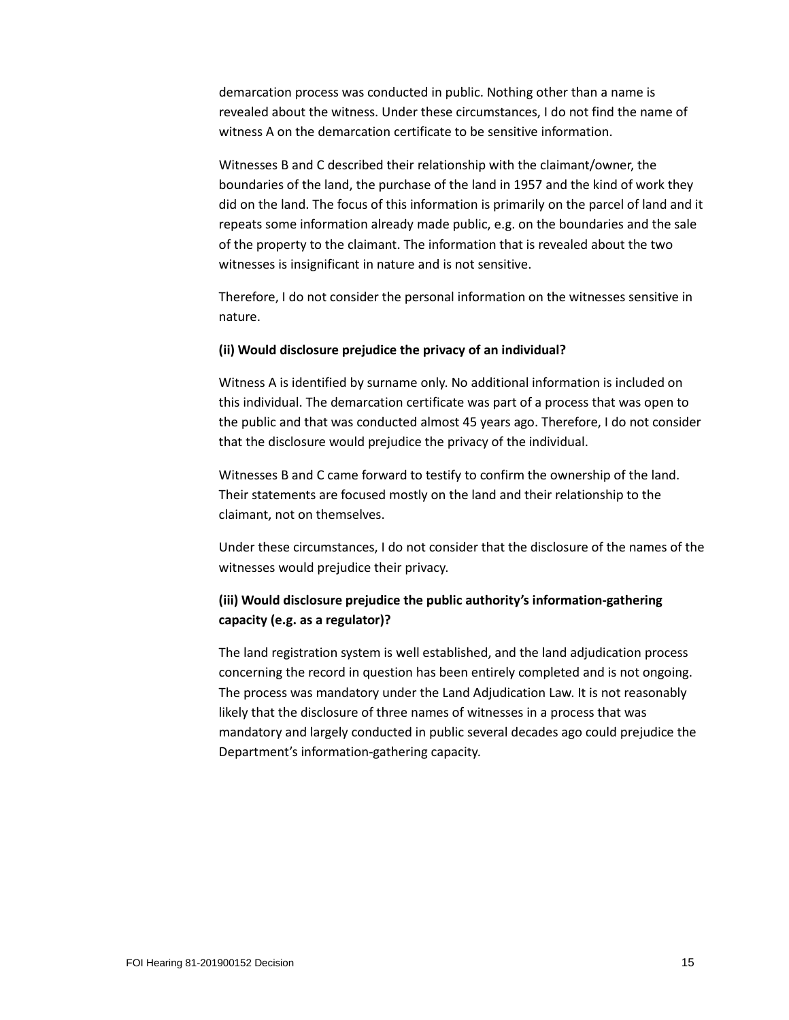demarcation process was conducted in public. Nothing other than a name is revealed about the witness. Under these circumstances, I do not find the name of witness A on the demarcation certificate to be sensitive information.

Witnesses B and C described their relationship with the claimant/owner, the boundaries of the land, the purchase of the land in 1957 and the kind of work they did on the land. The focus of this information is primarily on the parcel of land and it repeats some information already made public, e.g. on the boundaries and the sale of the property to the claimant. The information that is revealed about the two witnesses is insignificant in nature and is not sensitive.

Therefore, I do not consider the personal information on the witnesses sensitive in nature.

#### **(ii) Would disclosure prejudice the privacy of an individual?**

Witness A is identified by surname only. No additional information is included on this individual. The demarcation certificate was part of a process that was open to the public and that was conducted almost 45 years ago. Therefore, I do not consider that the disclosure would prejudice the privacy of the individual.

Witnesses B and C came forward to testify to confirm the ownership of the land. Their statements are focused mostly on the land and their relationship to the claimant, not on themselves.

Under these circumstances, I do not consider that the disclosure of the names of the witnesses would prejudice their privacy.

# **(iii) Would disclosure prejudice the public authority's information-gathering capacity (e.g. as a regulator)?**

The land registration system is well established, and the land adjudication process concerning the record in question has been entirely completed and is not ongoing. The process was mandatory under the Land Adjudication Law. It is not reasonably likely that the disclosure of three names of witnesses in a process that was mandatory and largely conducted in public several decades ago could prejudice the Department's information-gathering capacity.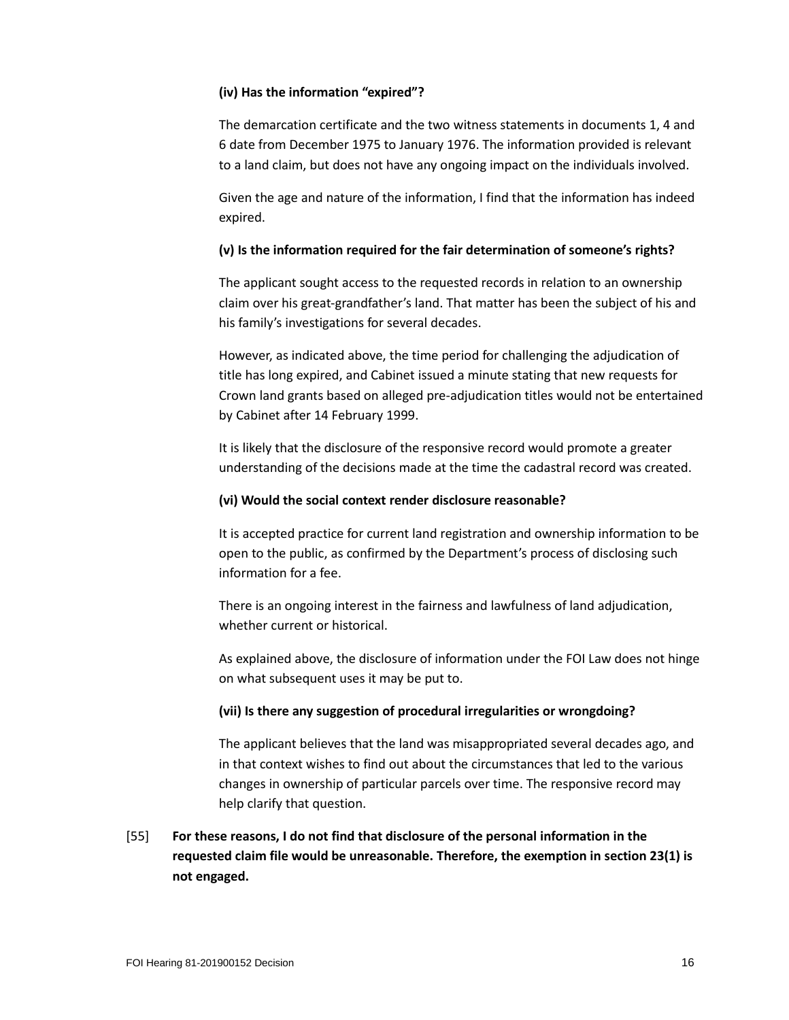## **(iv) Has the information "expired"?**

The demarcation certificate and the two witness statements in documents 1, 4 and 6 date from December 1975 to January 1976. The information provided is relevant to a land claim, but does not have any ongoing impact on the individuals involved.

Given the age and nature of the information, I find that the information has indeed expired.

## **(v) Is the information required for the fair determination of someone's rights?**

The applicant sought access to the requested records in relation to an ownership claim over his great-grandfather's land. That matter has been the subject of his and his family's investigations for several decades.

However, as indicated above, the time period for challenging the adjudication of title has long expired, and Cabinet issued a minute stating that new requests for Crown land grants based on alleged pre-adjudication titles would not be entertained by Cabinet after 14 February 1999.

It is likely that the disclosure of the responsive record would promote a greater understanding of the decisions made at the time the cadastral record was created.

### **(vi) Would the social context render disclosure reasonable?**

It is accepted practice for current land registration and ownership information to be open to the public, as confirmed by the Department's process of disclosing such information for a fee.

There is an ongoing interest in the fairness and lawfulness of land adjudication, whether current or historical.

As explained above, the disclosure of information under the FOI Law does not hinge on what subsequent uses it may be put to.

#### **(vii) Is there any suggestion of procedural irregularities or wrongdoing?**

The applicant believes that the land was misappropriated several decades ago, and in that context wishes to find out about the circumstances that led to the various changes in ownership of particular parcels over time. The responsive record may help clarify that question.

[55] **For these reasons, I do not find that disclosure of the personal information in the requested claim file would be unreasonable. Therefore, the exemption in section 23(1) is not engaged.**